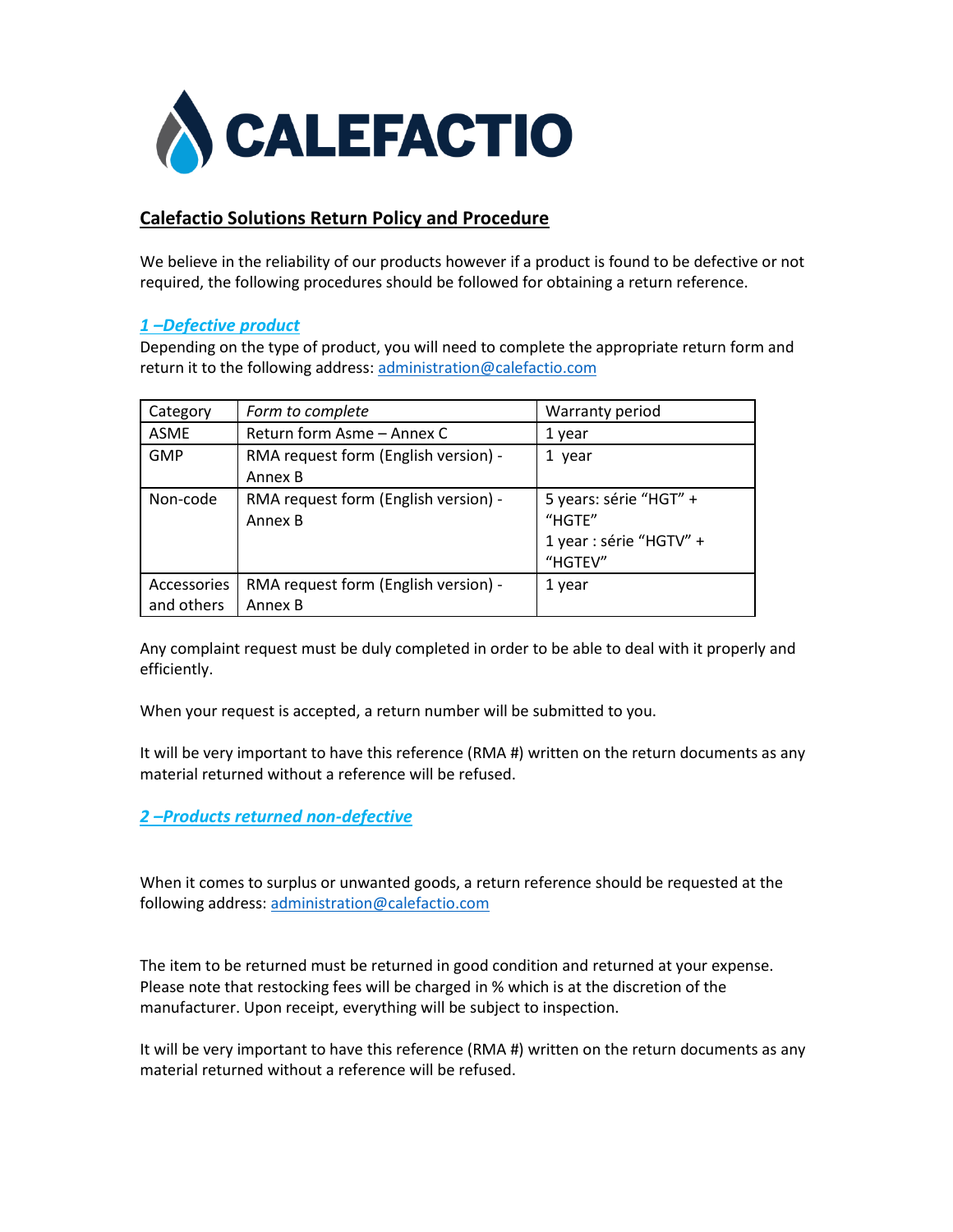

#### **Calefactio Solutions Return Policy and Procedure**

We believe in the reliability of our products however if a product is found to be defective or not required, the following procedures should be followed for obtaining a return reference.

#### *1 –Defective product*

Depending on the type of product, you will need to complete the appropriate return form and return it to the following address: [administration@calefactio.com](mailto:administration@calefactio.com)

| Category    | Form to complete                     | Warranty period         |
|-------------|--------------------------------------|-------------------------|
| <b>ASME</b> | Return form Asme - Annex C           | 1 year                  |
| <b>GMP</b>  | RMA request form (English version) - | 1 year                  |
|             | Annex B                              |                         |
| Non-code    | RMA request form (English version) - | 5 years: série "HGT" +  |
|             | Annex B                              | "HGTE"                  |
|             |                                      | 1 year : série "HGTV" + |
|             |                                      | "HGTEV"                 |
| Accessories | RMA request form (English version) - | 1 year                  |
| and others  | Annex B                              |                         |

Any complaint request must be duly completed in order to be able to deal with it properly and efficiently.

When your request is accepted, a return number will be submitted to you.

It will be very important to have this reference (RMA #) written on the return documents as any material returned without a reference will be refused.

#### *2 –Products returned non-defective*

When it comes to surplus or unwanted goods, a return reference should be requested at the following address: [administration@calefactio.com](mailto:administration@calefactio.com)

The item to be returned must be returned in good condition and returned at your expense. Please note that restocking fees will be charged in % which is at the discretion of the manufacturer. Upon receipt, everything will be subject to inspection.

It will be very important to have this reference (RMA #) written on the return documents as any material returned without a reference will be refused.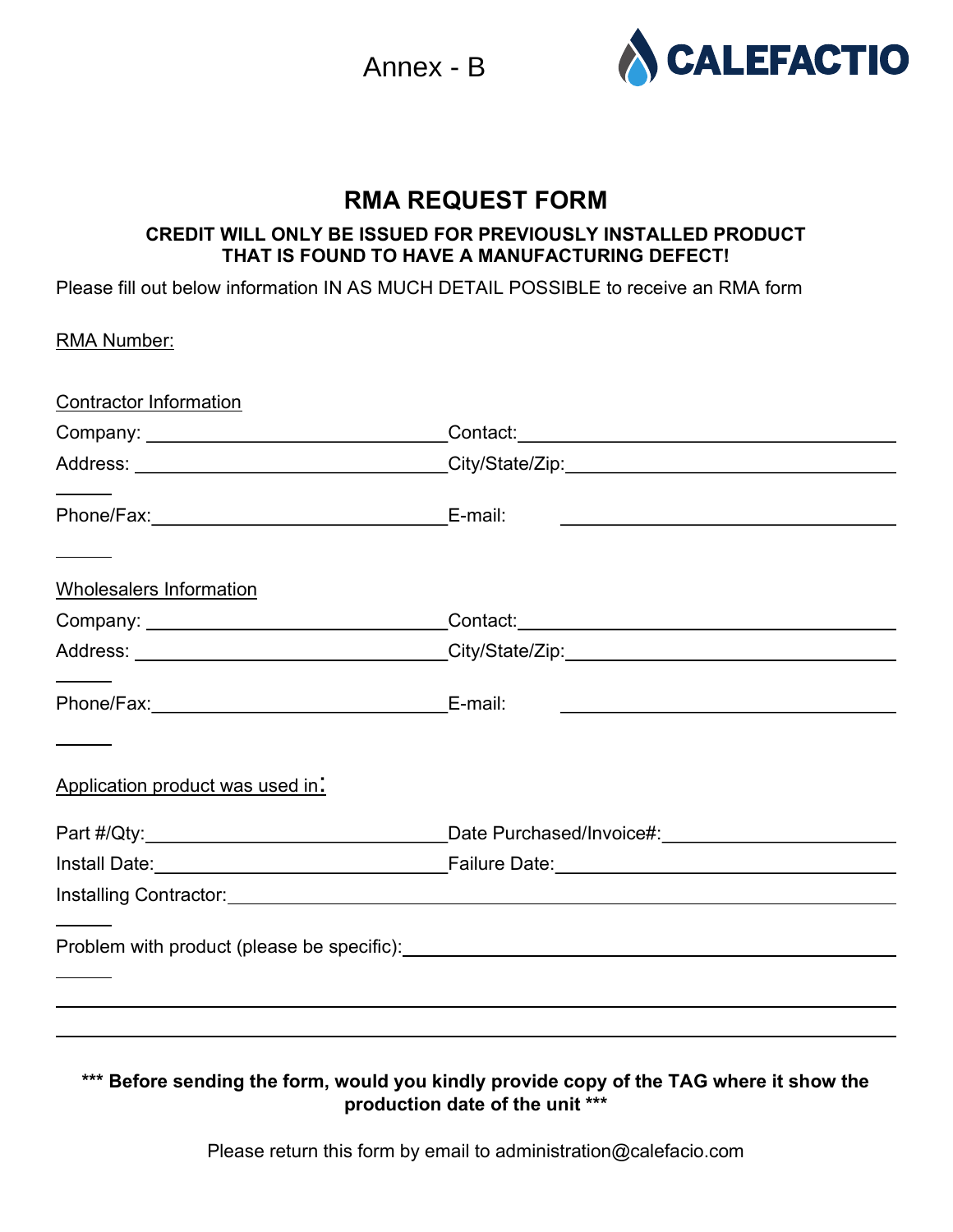Annex - B



# RMA REQUEST FORM

### CREDIT WILL ONLY BE ISSUED FOR PREVIOUSLY INSTALLED PRODUCT THAT IS FOUND TO HAVE A MANUFACTURING DEFECT!

Please fill out below information IN AS MUCH DETAIL POSSIBLE to receive an RMA form

| <b>RMA Number:</b>               |                                                                                                                       |
|----------------------------------|-----------------------------------------------------------------------------------------------------------------------|
| <b>Contractor Information</b>    |                                                                                                                       |
|                                  |                                                                                                                       |
|                                  |                                                                                                                       |
|                                  | <u> 1989 - Johann Stein, mars an deus Amerikaansk kommunister (</u>                                                   |
| Wholesalers Information          |                                                                                                                       |
|                                  |                                                                                                                       |
|                                  |                                                                                                                       |
|                                  | <u> 1989 - Johann Harry Harry Harry Harry Harry Harry Harry Harry Harry Harry Harry Harry Harry Harry Harry Harry</u> |
| Application product was used in: |                                                                                                                       |
|                                  |                                                                                                                       |
|                                  |                                                                                                                       |
|                                  |                                                                                                                       |
|                                  |                                                                                                                       |
|                                  |                                                                                                                       |
|                                  |                                                                                                                       |
|                                  |                                                                                                                       |

## \*\*\* Before sending the form, would you kindly provide copy of the TAG where it show the production date of the unit \*\*\*

Please return this form by email to administration@calefacio.com